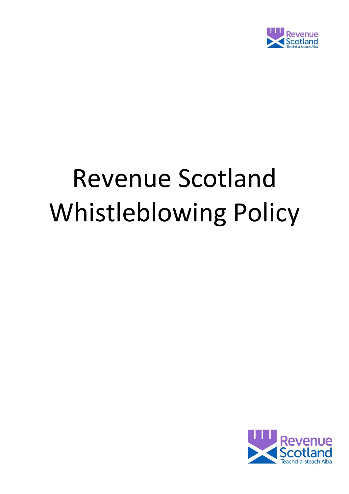

# Revenue Scotland Whistleblowing Policy

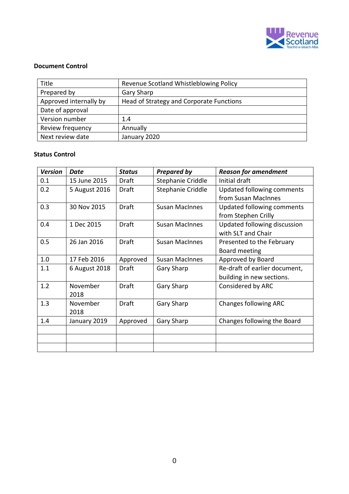

#### **Document Control**

| Title                  | Revenue Scotland Whistleblowing Policy   |  |
|------------------------|------------------------------------------|--|
| Prepared by            | Gary Sharp                               |  |
| Approved internally by | Head of Strategy and Corporate Functions |  |
| Date of approval       |                                          |  |
| Version number         | 1.4                                      |  |
| Review frequency       | Annually                                 |  |
| Next review date       | January 2020                             |  |

#### **Status Control**

| <b>Version</b> | <b>Date</b>   | <b>Status</b> | <b>Prepared by</b>    | <b>Reason for amendment</b>   |
|----------------|---------------|---------------|-----------------------|-------------------------------|
| 0.1            | 15 June 2015  | Draft         | Stephanie Criddle     | Initial draft                 |
| 0.2            | 5 August 2016 | Draft         | Stephanie Criddle     | Updated following comments    |
|                |               |               |                       | from Susan MacInnes           |
| 0.3            | 30 Nov 2015   | <b>Draft</b>  | <b>Susan MacInnes</b> | Updated following comments    |
|                |               |               |                       | from Stephen Crilly           |
| 0.4            | 1 Dec 2015    | <b>Draft</b>  | <b>Susan MacInnes</b> | Updated following discussion  |
|                |               |               |                       | with SLT and Chair            |
| 0.5            | 26 Jan 2016   | Draft         | <b>Susan MacInnes</b> | Presented to the February     |
|                |               |               |                       | Board meeting                 |
| 1.0            | 17 Feb 2016   | Approved      | <b>Susan MacInnes</b> | Approved by Board             |
| 1.1            | 6 August 2018 | Draft         | <b>Gary Sharp</b>     | Re-draft of earlier document, |
|                |               |               |                       | building in new sections.     |
| 1.2            | November      | <b>Draft</b>  | <b>Gary Sharp</b>     | Considered by ARC             |
|                | 2018          |               |                       |                               |
| 1.3            | November      | Draft         | <b>Gary Sharp</b>     | <b>Changes following ARC</b>  |
|                | 2018          |               |                       |                               |
| 1.4            | January 2019  | Approved      | <b>Gary Sharp</b>     | Changes following the Board   |
|                |               |               |                       |                               |
|                |               |               |                       |                               |
|                |               |               |                       |                               |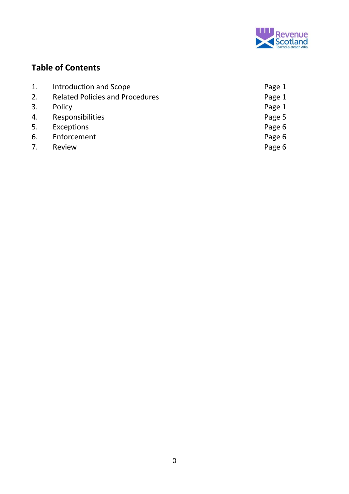

# **Table of Contents**

| 1. | Introduction and Scope                 | Page 1 |
|----|----------------------------------------|--------|
| 2. | <b>Related Policies and Procedures</b> | Page 1 |
| 3. | Policy                                 | Page 1 |
| 4. | <b>Responsibilities</b>                | Page 5 |
| 5. | Exceptions                             | Page 6 |
| 6. | Enforcement                            | Page 6 |
| 7. | Review                                 | Page 6 |
|    |                                        |        |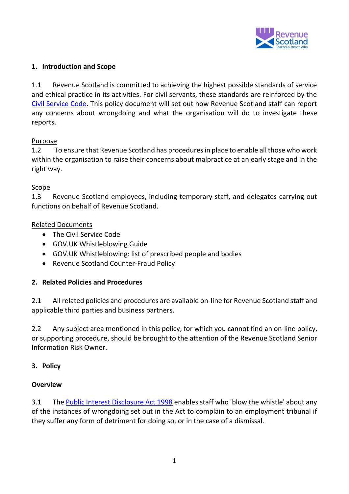

## **1. Introduction and Scope**

1.1 Revenue Scotland is committed to achieving the highest possible standards of service and ethical practice in its activities. For civil servants, these standards are reinforced by the [Civil Service Code.](https://www.gov.uk/government/publications/civil-service-code/the-civil-service-code) This policy document will set out how Revenue Scotland staff can report any concerns about wrongdoing and what the organisation will do to investigate these reports.

## Purpose

1.2 To ensure that Revenue Scotland has procedures in place to enable all those who work within the organisation to raise their concerns about malpractice at an early stage and in the right way.

## Scope

1.3 Revenue Scotland employees, including temporary staff, and delegates carrying out functions on behalf of Revenue Scotland.

# Related Documents

- The Civil Service Code
- GOV.UK Whistleblowing Guide
- GOV.UK Whistleblowing: list of prescribed people and bodies
- Revenue Scotland Counter-Fraud Policy

# **2. Related Policies and Procedures**

2.1 All related policies and procedures are available on-line for Revenue Scotland staff and applicable third parties and business partners.

2.2 Any subject area mentioned in this policy, for which you cannot find an on-line policy, or supporting procedure, should be brought to the attention of the Revenue Scotland Senior Information Risk Owner.

# **3. Policy**

## **Overview**

3.1 The [Public Interest Disclosure Act 1998](http://www.legislation.gov.uk/ukpga/1998/23/contents) enables staff who 'blow the whistle' about any of the instances of wrongdoing set out in the Act to complain to an employment tribunal if they suffer any form of detriment for doing so, or in the case of a dismissal.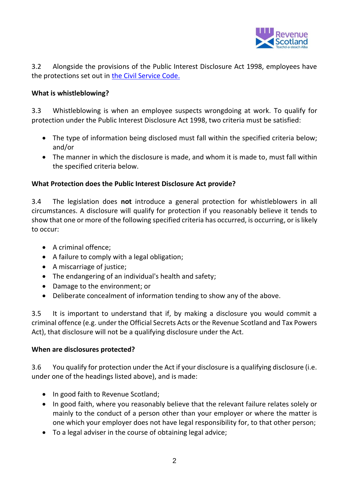

3.2 Alongside the provisions of the Public Interest Disclosure Act 1998, employees have the protections set out in [the Civil Service Code.](https://www.gov.uk/government/publications/civil-service-code/the-civil-service-code)

## **What is whistleblowing?**

3.3 Whistleblowing is when an employee suspects wrongdoing at work. To qualify for protection under the Public Interest Disclosure Act 1998, two criteria must be satisfied:

- The type of information being disclosed must fall within the specified criteria below; and/or
- The manner in which the disclosure is made, and whom it is made to, must fall within the specified criteria below.

# **What Protection does the Public Interest Disclosure Act provide?**

3.4 The legislation does **not** introduce a general protection for whistleblowers in all circumstances. A disclosure will qualify for protection if you reasonably believe it tends to show that one or more of the following specified criteria has occurred, is occurring, or is likely to occur:

- A criminal offence;
- A failure to comply with a legal obligation;
- A miscarriage of justice;
- The endangering of an individual's health and safety;
- Damage to the environment; or
- Deliberate concealment of information tending to show any of the above.

3.5 It is important to understand that if, by making a disclosure you would commit a criminal offence (e.g. under the Official Secrets Acts or the Revenue Scotland and Tax Powers Act), that disclosure will not be a qualifying disclosure under the Act.

## **When are disclosures protected?**

3.6 You qualify for protection under the Act if your disclosure is a qualifying disclosure (i.e. under one of the headings listed above), and is made:

- In good faith to Revenue Scotland;
- In good faith, where you reasonably believe that the relevant failure relates solely or mainly to the conduct of a person other than your employer or where the matter is one which your employer does not have legal responsibility for, to that other person;
- To a legal adviser in the course of obtaining legal advice;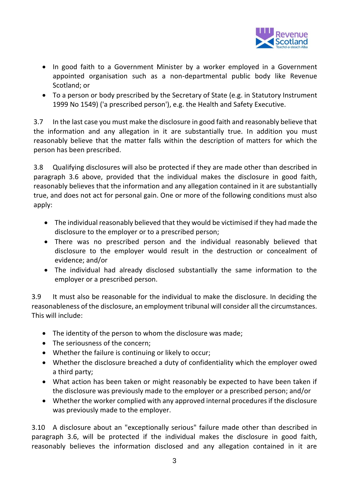

- In good faith to a Government Minister by a worker employed in a Government appointed organisation such as a non-departmental public body like Revenue Scotland; or
- To a person or body prescribed by the Secretary of State (e.g. in Statutory Instrument 1999 No 1549) ('a prescribed person'), e.g. the Health and Safety Executive.

3.7 In the last case you must make the disclosure in good faith and reasonably believe that the information and any allegation in it are substantially true. In addition you must reasonably believe that the matter falls within the description of matters for which the person has been prescribed.

3.8 Qualifying disclosures will also be protected if they are made other than described in paragraph 3.6 above, provided that the individual makes the disclosure in good faith, reasonably believes that the information and any allegation contained in it are substantially true, and does not act for personal gain. One or more of the following conditions must also apply:

- The individual reasonably believed that they would be victimised if they had made the disclosure to the employer or to a prescribed person;
- There was no prescribed person and the individual reasonably believed that disclosure to the employer would result in the destruction or concealment of evidence; and/or
- The individual had already disclosed substantially the same information to the employer or a prescribed person.

3.9 It must also be reasonable for the individual to make the disclosure. In deciding the reasonableness of the disclosure, an employment tribunal will consider all the circumstances. This will include:

- The identity of the person to whom the disclosure was made;
- The seriousness of the concern;
- Whether the failure is continuing or likely to occur;
- Whether the disclosure breached a duty of confidentiality which the employer owed a third party;
- What action has been taken or might reasonably be expected to have been taken if the disclosure was previously made to the employer or a prescribed person; and/or
- Whether the worker complied with any approved internal procedures if the disclosure was previously made to the employer.

3.10 A disclosure about an "exceptionally serious" failure made other than described in paragraph 3.6, will be protected if the individual makes the disclosure in good faith, reasonably believes the information disclosed and any allegation contained in it are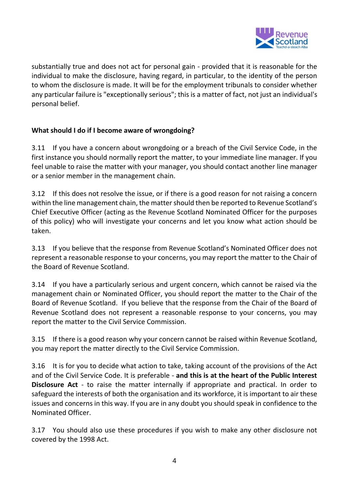

substantially true and does not act for personal gain - provided that it is reasonable for the individual to make the disclosure, having regard, in particular, to the identity of the person to whom the disclosure is made. It will be for the employment tribunals to consider whether any particular failure is "exceptionally serious"; this is a matter of fact, not just an individual's personal belief.

# **What should I do if I become aware of wrongdoing?**

3.11 If you have a concern about wrongdoing or a breach of the Civil Service Code, in the first instance you should normally report the matter, to your immediate line manager. If you feel unable to raise the matter with your manager, you should contact another line manager or a senior member in the management chain.

3.12 If this does not resolve the issue, or if there is a good reason for not raising a concern within the line management chain, the matter should then be reported to Revenue Scotland's Chief Executive Officer (acting as the Revenue Scotland Nominated Officer for the purposes of this policy) who will investigate your concerns and let you know what action should be taken.

3.13 If you believe that the response from Revenue Scotland's Nominated Officer does not represent a reasonable response to your concerns, you may report the matter to the Chair of the Board of Revenue Scotland.

3.14 If you have a particularly serious and urgent concern, which cannot be raised via the management chain or Nominated Officer, you should report the matter to the Chair of the Board of Revenue Scotland. If you believe that the response from the Chair of the Board of Revenue Scotland does not represent a reasonable response to your concerns, you may report the matter to the Civil Service Commission.

3.15 If there is a good reason why your concern cannot be raised within Revenue Scotland, you may report the matter directly to the Civil Service Commission.

3.16 It is for you to decide what action to take, taking account of the provisions of the Act and of the Civil Service Code. It is preferable - **and this is at the heart of the Public Interest Disclosure Act** - to raise the matter internally if appropriate and practical. In order to safeguard the interests of both the organisation and its workforce, it is important to air these issues and concerns in this way. If you are in any doubt you should speak in confidence to the Nominated Officer.

3.17 You should also use these procedures if you wish to make any other disclosure not covered by the 1998 Act.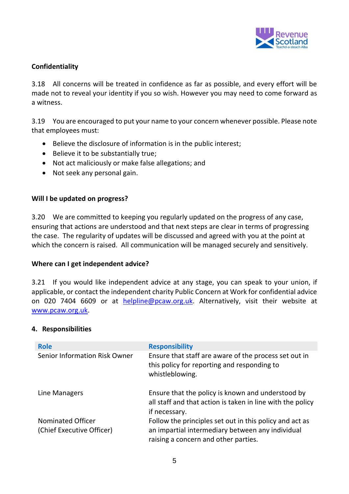

## **Confidentiality**

3.18 All concerns will be treated in confidence as far as possible, and every effort will be made not to reveal your identity if you so wish. However you may need to come forward as a witness.

3.19 You are encouraged to put your name to your concern whenever possible. Please note that employees must:

- Believe the disclosure of information is in the public interest;
- Believe it to be substantially true:
- Not act maliciously or make false allegations; and
- Not seek any personal gain.

#### **Will I be updated on progress?**

3.20 We are committed to keeping you regularly updated on the progress of any case, ensuring that actions are understood and that next steps are clear in terms of progressing the case. The regularity of updates will be discussed and agreed with you at the point at which the concern is raised. All communication will be managed securely and sensitively.

#### **Where can I get independent advice?**

3.21 If you would like independent advice at any stage, you can speak to your union, if applicable, or contact the independent charity Public Concern at Work for confidential advice on 020 7404 6609 or at **helpline@pcaw.org.uk**. Alternatively, visit their website at [www.pcaw.org.uk.](http://www.pcaw.org.uk/)

#### **4. Responsibilities**

| <b>Role</b>                                           | <b>Responsibility</b>                                                                                                                               |
|-------------------------------------------------------|-----------------------------------------------------------------------------------------------------------------------------------------------------|
| Senior Information Risk Owner                         | Ensure that staff are aware of the process set out in<br>this policy for reporting and responding to<br>whistleblowing.                             |
| Line Managers                                         | Ensure that the policy is known and understood by<br>all staff and that action is taken in line with the policy<br>if necessary.                    |
| <b>Nominated Officer</b><br>(Chief Executive Officer) | Follow the principles set out in this policy and act as<br>an impartial intermediary between any individual<br>raising a concern and other parties. |